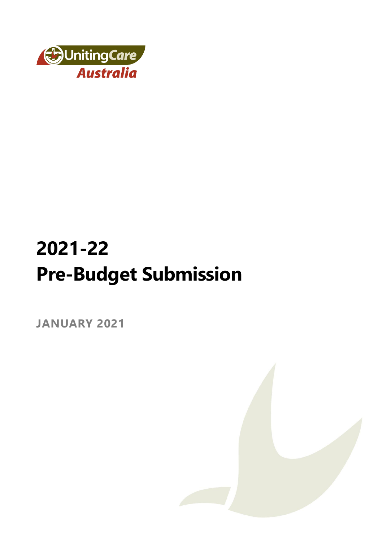

# **2021-22 Pre-Budget Submission**

**JANUARY 2021**

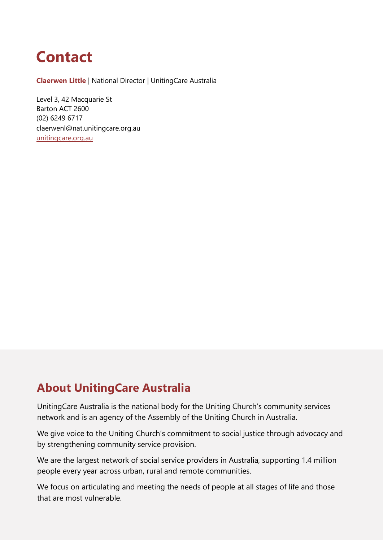## **Contact**

**Claerwen Little** | National Director | UnitingCare Australia

Level 3, 42 Macquarie St Barton ACT 2600 (02) 6249 6717 claerwenl@nat.unitingcare.org.au [unitingcare.org.au](http://www.unitingcare.org.au/)

### **About UnitingCare Australia**

UnitingCare Australia is the national body for the Uniting Church's community services network and is an agency of the Assembly of the Uniting Church in Australia.

We give voice to the Uniting Church's commitment to social justice through advocacy and by strengthening community service provision.

We are the largest network of social service providers in Australia, supporting 1.4 million people every year across urban, rural and remote communities.

We focus on articulating and meeting the needs of people at all stages of life and those that are most vulnerable.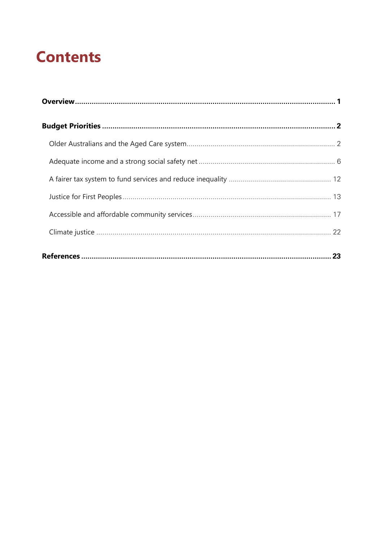## **Contents**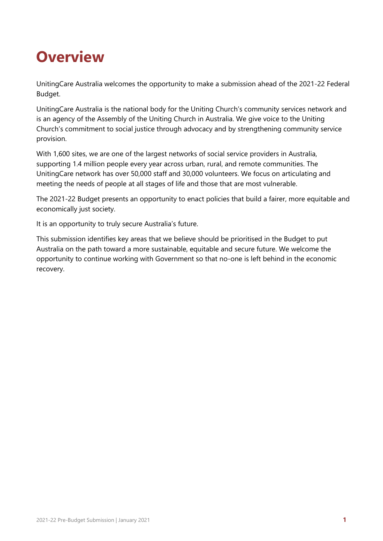## <span id="page-3-0"></span>**Overview**

UnitingCare Australia welcomes the opportunity to make a submission ahead of the 2021-22 Federal Budget.

UnitingCare Australia is the national body for the Uniting Church's community services network and is an agency of the Assembly of the Uniting Church in Australia. We give voice to the Uniting Church's commitment to social justice through advocacy and by strengthening community service provision.

With 1,600 sites, we are one of the largest networks of social service providers in Australia, supporting 1.4 million people every year across urban, rural, and remote communities. The UnitingCare network has over 50,000 staff and 30,000 volunteers. We focus on articulating and meeting the needs of people at all stages of life and those that are most vulnerable.

The 2021-22 Budget presents an opportunity to enact policies that build a fairer, more equitable and economically just society.

It is an opportunity to truly secure Australia's future.

This submission identifies key areas that we believe should be prioritised in the Budget to put Australia on the path toward a more sustainable, equitable and secure future. We welcome the opportunity to continue working with Government so that no-one is left behind in the economic recovery.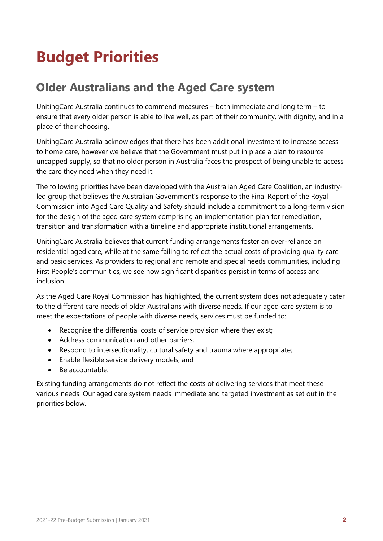## <span id="page-4-0"></span>**Budget Priorities**

## <span id="page-4-1"></span>**Older Australians and the Aged Care system**

UnitingCare Australia continues to commend measures – both immediate and long term – to ensure that every older person is able to live well, as part of their community, with dignity, and in a place of their choosing.

UnitingCare Australia acknowledges that there has been additional investment to increase access to home care, however we believe that the Government must put in place a plan to resource uncapped supply, so that no older person in Australia faces the prospect of being unable to access the care they need when they need it.

The following priorities have been developed with the Australian Aged Care Coalition, an industryled group that believes the Australian Government's response to the Final Report of the Royal Commission into Aged Care Quality and Safety should include a commitment to a long-term vision for the design of the aged care system comprising an implementation plan for remediation, transition and transformation with a timeline and appropriate institutional arrangements.

UnitingCare Australia believes that current funding arrangements foster an over-reliance on residential aged care, while at the same failing to reflect the actual costs of providing quality care and basic services. As providers to regional and remote and special needs communities, including First People's communities, we see how significant disparities persist in terms of access and inclusion.

As the Aged Care Royal Commission has highlighted, the current system does not adequately cater to the different care needs of older Australians with diverse needs. If our aged care system is to meet the expectations of people with diverse needs, services must be funded to:

- Recognise the differential costs of service provision where they exist;
- Address communication and other barriers;
- Respond to intersectionality, cultural safety and trauma where appropriate;
- Enable flexible service delivery models; and
- Be accountable.

Existing funding arrangements do not reflect the costs of delivering services that meet these various needs. Our aged care system needs immediate and targeted investment as set out in the priorities below.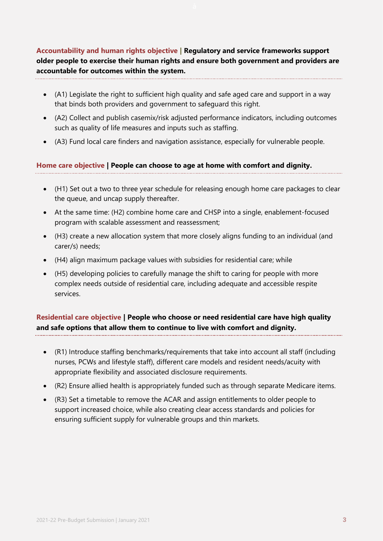**Accountability and human rights objective | Regulatory and service frameworks support older people to exercise their human rights and ensure both government and providers are accountable for outcomes within the system.** 

- (A1) Legislate the right to sufficient high quality and safe aged care and support in a way that binds both providers and government to safeguard this right.
- (A2) Collect and publish casemix/risk adjusted performance indicators, including outcomes such as quality of life measures and inputs such as staffing.
- (A3) Fund local care finders and navigation assistance, especially for vulnerable people.

#### **Home care objective | People can choose to age at home with comfort and dignity.**

- (H1) Set out a two to three year schedule for releasing enough home care packages to clear the queue, and uncap supply thereafter.
- At the same time: (H2) combine home care and CHSP into a single, enablement-focused program with scalable assessment and reassessment;
- (H3) create a new allocation system that more closely aligns funding to an individual (and carer/s) needs;
- (H4) align maximum package values with subsidies for residential care; while
- (H5) developing policies to carefully manage the shift to caring for people with more complex needs outside of residential care, including adequate and accessible respite services.

#### **Residential care objective | People who choose or need residential care have high quality and safe options that allow them to continue to live with comfort and dignity.**

- (R1) Introduce staffing benchmarks/requirements that take into account all staff (including nurses, PCWs and lifestyle staff), different care models and resident needs/acuity with appropriate flexibility and associated disclosure requirements.
- (R2) Ensure allied health is appropriately funded such as through separate Medicare items.
- (R3) Set a timetable to remove the ACAR and assign entitlements to older people to support increased choice, while also creating clear access standards and policies for ensuring sufficient supply for vulnerable groups and thin markets.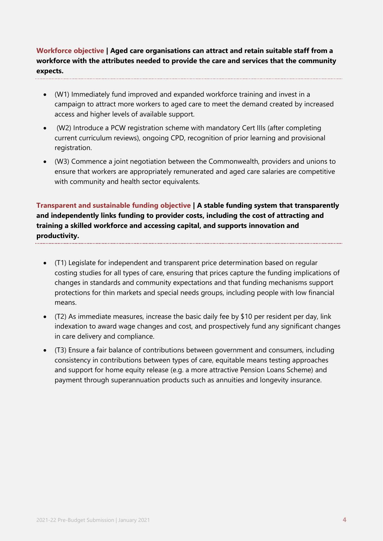**Workforce objective | Aged care organisations can attract and retain suitable staff from a workforce with the attributes needed to provide the care and services that the community expects.**

- (W1) Immediately fund improved and expanded workforce training and invest in a campaign to attract more workers to aged care to meet the demand created by increased access and higher levels of available support.
- (W2) Introduce a PCW registration scheme with mandatory Cert IIIs (after completing current curriculum reviews), ongoing CPD, recognition of prior learning and provisional registration.
- (W3) Commence a joint negotiation between the Commonwealth, providers and unions to ensure that workers are appropriately remunerated and aged care salaries are competitive with community and health sector equivalents.

**Transparent and sustainable funding objective | A stable funding system that transparently and independently links funding to provider costs, including the cost of attracting and training a skilled workforce and accessing capital, and supports innovation and productivity.** 

- (T1) Legislate for independent and transparent price determination based on regular costing studies for all types of care, ensuring that prices capture the funding implications of changes in standards and community expectations and that funding mechanisms support protections for thin markets and special needs groups, including people with low financial means.
- (T2) As immediate measures, increase the basic daily fee by \$10 per resident per day, link indexation to award wage changes and cost, and prospectively fund any significant changes in care delivery and compliance.
- (T3) Ensure a fair balance of contributions between government and consumers, including consistency in contributions between types of care, equitable means testing approaches and support for home equity release (e.g. a more attractive Pension Loans Scheme) and payment through superannuation products such as annuities and longevity insurance.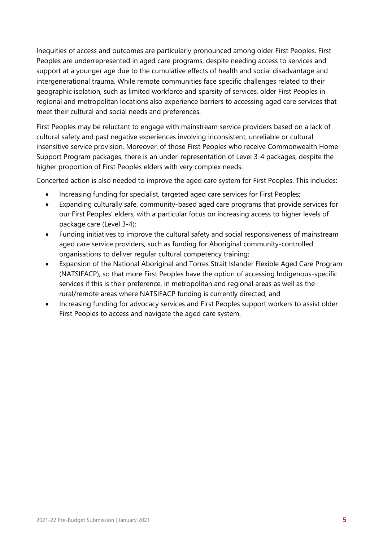Inequities of access and outcomes are particularly pronounced among older First Peoples. First Peoples are underrepresented in aged care programs, despite needing access to services and support at a younger age due to the cumulative effects of health and social disadvantage and intergenerational trauma. While remote communities face specific challenges related to their geographic isolation, such as limited workforce and sparsity of services, older First Peoples in regional and metropolitan locations also experience barriers to accessing aged care services that meet their cultural and social needs and preferences.

First Peoples may be reluctant to engage with mainstream service providers based on a lack of cultural safety and past negative experiences involving inconsistent, unreliable or cultural insensitive service provision. Moreover, of those First Peoples who receive Commonwealth Home Support Program packages, there is an under-representation of Level 3-4 packages, despite the higher proportion of First Peoples elders with very complex needs.

Concerted action is also needed to improve the aged care system for First Peoples. This includes:

- Increasing funding for specialist, targeted aged care services for First Peoples;
- Expanding culturally safe, community-based aged care programs that provide services for our First Peoples' elders, with a particular focus on increasing access to higher levels of package care (Level 3-4);
- Funding initiatives to improve the cultural safety and social responsiveness of mainstream aged care service providers, such as funding for Aboriginal community-controlled organisations to deliver regular cultural competency training;
- Expansion of the National Aboriginal and Torres Strait Islander Flexible Aged Care Program (NATSIFACP), so that more First Peoples have the option of accessing Indigenous-specific services if this is their preference, in metropolitan and regional areas as well as the rural/remote areas where NATSIFACP funding is currently directed; and
- <span id="page-7-0"></span>• Increasing funding for advocacy services and First Peoples support workers to assist older First Peoples to access and navigate the aged care system.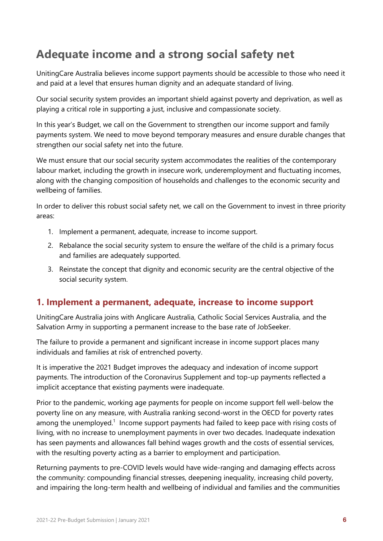## **Adequate income and a strong social safety net**

UnitingCare Australia believes income support payments should be accessible to those who need it and paid at a level that ensures human dignity and an adequate standard of living.

Our social security system provides an important shield against poverty and deprivation, as well as playing a critical role in supporting a just, inclusive and compassionate society.

In this year's Budget, we call on the Government to strengthen our income support and family payments system. We need to move beyond temporary measures and ensure durable changes that strengthen our social safety net into the future.

We must ensure that our social security system accommodates the realities of the contemporary labour market, including the growth in insecure work, underemployment and fluctuating incomes, along with the changing composition of households and challenges to the economic security and wellbeing of families.

In order to deliver this robust social safety net, we call on the Government to invest in three priority areas:

- 1. Implement a permanent, adequate, increase to income support.
- 2. Rebalance the social security system to ensure the welfare of the child is a primary focus and families are adequately supported.
- 3. Reinstate the concept that dignity and economic security are the central objective of the social security system.

#### **1. Implement a permanent, adequate, increase to income support**

UnitingCare Australia joins with Anglicare Australia, Catholic Social Services Australia, and the Salvation Army in supporting a permanent increase to the base rate of JobSeeker.

The failure to provide a permanent and significant increase in income support places many individuals and families at risk of entrenched poverty.

It is imperative the 2021 Budget improves the adequacy and indexation of income support payments. The introduction of the Coronavirus Supplement and top-up payments reflected a implicit acceptance that existing payments were inadequate.

Prior to the pandemic, working age payments for people on income support fell well-below the poverty line on any measure, with Australia ranking second-worst in the OECD for poverty rates among the unemployed.<sup>1</sup> Income support payments had failed to keep pace with rising costs of living, with no increase to unemployment payments in over two decades. Inadequate indexation has seen payments and allowances fall behind wages growth and the costs of essential services, with the resulting poverty acting as a barrier to employment and participation.

Returning payments to pre-COVID levels would have wide-ranging and damaging effects across the community: compounding financial stresses, deepening inequality, increasing child poverty, and impairing the long-term health and wellbeing of individual and families and the communities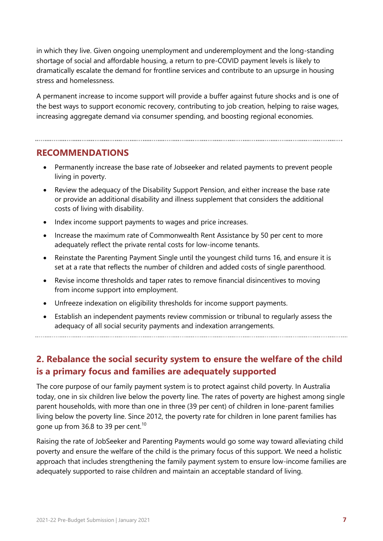in which they live. Given ongoing unemployment and underemployment and the long-standing shortage of social and affordable housing, a return to pre-COVID payment levels is likely to dramatically escalate the demand for frontline services and contribute to an upsurge in housing stress and homelessness.

A permanent increase to income support will provide a buffer against future shocks and is one of the best ways to support economic recovery, contributing to job creation, helping to raise wages, increasing aggregate demand via consumer spending, and boosting regional economies.

#### **RECOMMENDATIONS**

- Permanently increase the base rate of Jobseeker and related payments to prevent people living in poverty.
- Review the adequacy of the Disability Support Pension, and either increase the base rate or provide an additional disability and illness supplement that considers the additional costs of living with disability.
- Index income support payments to wages and price increases.
- Increase the maximum rate of Commonwealth Rent Assistance by 50 per cent to more adequately reflect the private rental costs for low-income tenants.
- Reinstate the Parenting Payment Single until the youngest child turns 16, and ensure it is set at a rate that reflects the number of children and added costs of single parenthood.
- Revise income thresholds and taper rates to remove financial disincentives to moving from income support into employment.
- Unfreeze indexation on eligibility thresholds for income support payments.

• Establish an independent payments review commission or tribunal to regularly assess the adequacy of all social security payments and indexation arrangements.

#### **2. Rebalance the social security system to ensure the welfare of the child is a primary focus and families are adequately supported**

The core purpose of our family payment system is to protect against child poverty. In Australia today, one in six children live below the poverty line. The rates of poverty are highest among single parent households, with more than one in three (39 per cent) of children in lone-parent families living below the poverty line. Since 2012, the poverty rate for children in lone parent families has gone up from 36.8 to 39 per cent.<sup>10</sup>

Raising the rate of JobSeeker and Parenting Payments would go some way toward alleviating child poverty and ensure the welfare of the child is the primary focus of this support. We need a holistic approach that includes strengthening the family payment system to ensure low-income families are adequately supported to raise children and maintain an acceptable standard of living.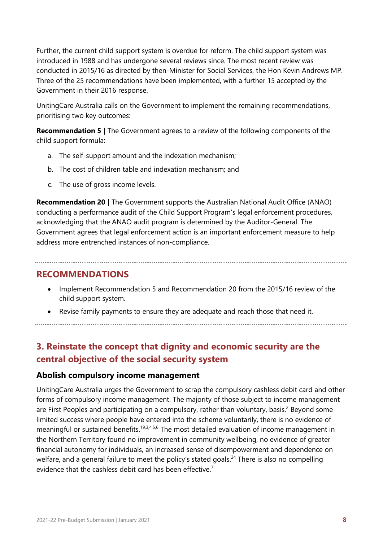Further, the current child support system is overdue for reform. The child support system was introduced in 1988 and has undergone several reviews since. The most recent review was conducted in 2015/16 as directed by then-Minister for Social Services, the Hon Kevin Andrews MP. Three of the 25 recommendations have been implemented, with a further 15 accepted by the Government in their 2016 response.

UnitingCare Australia calls on the Government to implement the remaining recommendations, prioritising two key outcomes:

**Recommendation 5 |** The Government agrees to a review of the following components of the child support formula:

- a. The self-support amount and the indexation mechanism;
- b. The cost of children table and indexation mechanism; and
- c. The use of gross income levels.

**Recommendation 20 |** The Government supports the Australian National Audit Office (ANAO) conducting a performance audit of the Child Support Program's legal enforcement procedures, acknowledging that the ANAO audit program is determined by the Auditor-General. The Government agrees that legal enforcement action is an important enforcement measure to help address more entrenched instances of non-compliance.

#### **RECOMMENDATIONS**

- Implement Recommendation 5 and Recommendation 20 from the 2015/16 review of the child support system.
- Revise family payments to ensure they are adequate and reach those that need it.

#### **3. Reinstate the concept that dignity and economic security are the central objective of the social security system**

#### **Abolish compulsory income management**

UnitingCare Australia urges the Government to scrap the compulsory cashless debit card and other forms of compulsory income management. The majority of those subject to income management are First Peoples and participating on a compulsory, rather than voluntary, basis.<sup>2</sup> Beyond some limited success where people have entered into the scheme voluntarily, there is no evidence of meaningful or sustained benefits.<sup>19,3,4,5,6</sup> The most detailed evaluation of income management in the Northern Territory found no improvement in community wellbeing, no evidence of greater financial autonomy for individuals, an increased sense of disempowerment and dependence on welfare, and a general failure to meet the policy's stated goals.<sup>24</sup> There is also no compelling evidence that the cashless debit card has been effective.<sup>7</sup>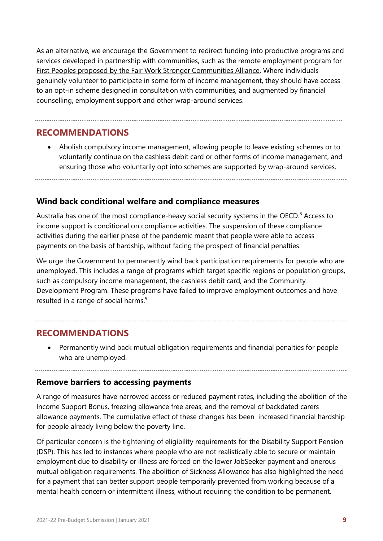As an alternative, we encourage the Government to redirect funding into productive programs and services developed in partnership with communities, such as the [remote employment program for](#page-17-0)  [First Peoples proposed by the Fair Work Stronger Communities Alliance.](#page-17-0) Where individuals genuinely volunteer to participate in some form of income management, they should have access to an opt-in scheme designed in consultation with communities, and augmented by financial counselling, employment support and other wrap-around services.

#### **RECOMMENDATIONS**

• Abolish compulsory income management, allowing people to leave existing schemes or to voluntarily continue on the cashless debit card or other forms of income management, and ensuring those who voluntarily opt into schemes are supported by wrap-around services.

#### **Wind back conditional welfare and compliance measures**

Australia has one of the most compliance-heavy social security systems in the OECD.<sup>8</sup> Access to income support is conditional on compliance activities. The suspension of these compliance activities during the earlier phase of the pandemic meant that people were able to access payments on the basis of hardship, without facing the prospect of financial penalties.

We urge the Government to permanently wind back participation requirements for people who are unemployed. This includes a range of programs which target specific regions or population groups, such as compulsory income management, the cashless debit card, and the Community Development Program. These programs have failed to improve employment outcomes and have resulted in a range of social harms.<sup>9</sup>

#### **RECOMMENDATIONS**

• Permanently wind back mutual obligation requirements and financial penalties for people who are unemployed.

#### **Remove barriers to accessing payments**

A range of measures have narrowed access or reduced payment rates, including the abolition of the Income Support Bonus, freezing allowance free areas, and the removal of backdated carers allowance payments. The cumulative effect of these changes has been increased financial hardship for people already living below the poverty line.

Of particular concern is the tightening of eligibility requirements for the Disability Support Pension (DSP). This has led to instances where people who are not realistically able to secure or maintain employment due to disability or illness are forced on the lower JobSeeker payment and onerous mutual obligation requirements. The abolition of Sickness Allowance has also highlighted the need for a payment that can better support people temporarily prevented from working because of a mental health concern or intermittent illness, without requiring the condition to be permanent.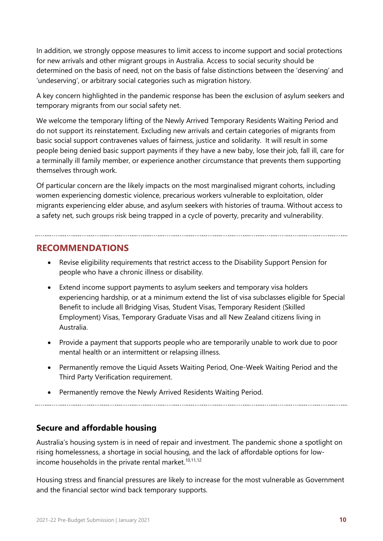In addition, we strongly oppose measures to limit access to income support and social protections for new arrivals and other migrant groups in Australia. Access to social security should be determined on the basis of need, not on the basis of false distinctions between the 'deserving' and 'undeserving', or arbitrary social categories such as migration history.

A key concern highlighted in the pandemic response has been the exclusion of asylum seekers and temporary migrants from our social safety net.

We welcome the temporary lifting of the Newly Arrived Temporary Residents Waiting Period and do not support its reinstatement. Excluding new arrivals and certain categories of migrants from basic social support contravenes values of fairness, justice and solidarity. It will result in some people being denied basic support payments if they have a new baby, lose their job, fall ill, care for a terminally ill family member, or experience another circumstance that prevents them supporting themselves through work.

Of particular concern are the likely impacts on the most marginalised migrant cohorts, including women experiencing domestic violence, precarious workers vulnerable to exploitation, older migrants experiencing elder abuse, and asylum seekers with histories of trauma. Without access to a safety net, such groups risk being trapped in a cycle of poverty, precarity and vulnerability.

#### **RECOMMENDATIONS**

- Revise eligibility requirements that restrict access to the Disability Support Pension for people who have a chronic illness or disability.
- Extend income support payments to asylum seekers and temporary visa holders experiencing hardship, or at a minimum extend the list of visa subclasses eligible for Special Benefit to include all Bridging Visas, Student Visas, Temporary Resident (Skilled Employment) Visas, Temporary Graduate Visas and all New Zealand citizens living in Australia.
- Provide a payment that supports people who are temporarily unable to work due to poor mental health or an intermittent or relapsing illness.
- Permanently remove the Liquid Assets Waiting Period, One-Week Waiting Period and the Third Party Verification requirement.
- Permanently remove the Newly Arrived Residents Waiting Period.

#### **Secure and affordable housing**

Australia's housing system is in need of repair and investment. The pandemic shone a spotlight on rising homelessness, a shortage in social housing, and the lack of affordable options for lowincome households in the private rental market. $10,11,12$ 

Housing stress and financial pressures are likely to increase for the most vulnerable as Government and the financial sector wind back temporary supports.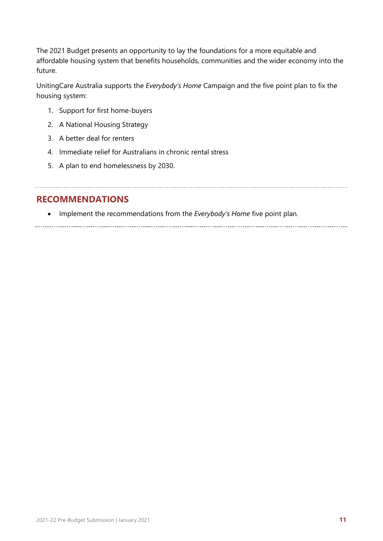The 2021 Budget presents an opportunity to lay the foundations for a more equitable and affordable housing system that benefits households, communities and the wider economy into the future.

UnitingCare Australia supports the *Everybody's Home* Campaign and the five point plan to fix the housing system:

- 1. Support for first home-buyers
- 2. A National Housing Strategy
- 3. A better deal for renters
- 4. Immediate relief for Australians in chronic rental stress
- 5. A plan to end homelessness by 2030.

#### **RECOMMENDATIONS**

• Implement the recommendations from the *Everybody's Home* five point plan.

<span id="page-13-0"></span>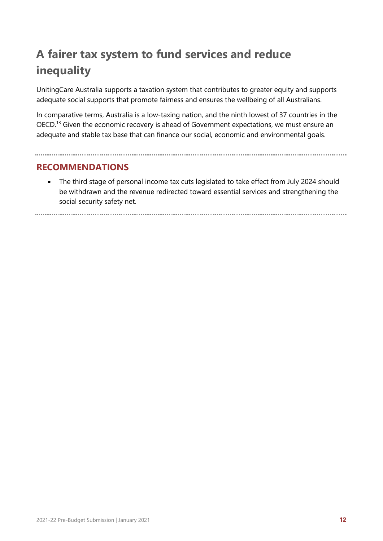## **A fairer tax system to fund services and reduce inequality**

UnitingCare Australia supports a taxation system that contributes to greater equity and supports adequate social supports that promote fairness and ensures the wellbeing of all Australians.

In comparative terms, Australia is a low-taxing nation, and the ninth lowest of 37 countries in the OECD.<sup>13</sup> Given the economic recovery is ahead of Government expectations, we must ensure an adequate and stable tax base that can finance our social, economic and environmental goals.

#### **RECOMMENDATIONS**

• The third stage of personal income tax cuts legislated to take effect from July 2024 should be withdrawn and the revenue redirected toward essential services and strengthening the social security safety net.

<span id="page-14-0"></span>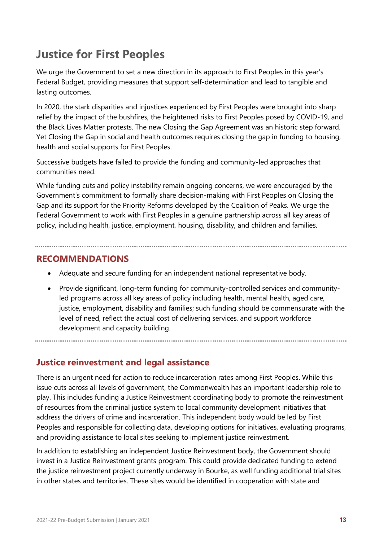## **Justice for First Peoples**

We urge the Government to set a new direction in its approach to First Peoples in this year's Federal Budget, providing measures that support self-determination and lead to tangible and lasting outcomes.

In 2020, the stark disparities and injustices experienced by First Peoples were brought into sharp relief by the impact of the bushfires, the heightened risks to First Peoples posed by COVID-19, and the Black Lives Matter protests. The new Closing the Gap Agreement was an historic step forward. Yet Closing the Gap in social and health outcomes requires closing the gap in funding to housing, health and social supports for First Peoples.

Successive budgets have failed to provide the funding and community-led approaches that communities need.

While funding cuts and policy instability remain ongoing concerns, we were encouraged by the Government's commitment to formally share decision-making with First Peoples on Closing the Gap and its support for the Priority Reforms developed by the Coalition of Peaks. We urge the Federal Government to work with First Peoples in a genuine partnership across all key areas of policy, including health, justice, employment, housing, disability, and children and families.

#### **RECOMMENDATIONS**

- Adequate and secure funding for an independent national representative body.
- Provide significant, long-term funding for community-controlled services and communityled programs across all key areas of policy including health, mental health, aged care, justice, employment, disability and families; such funding should be commensurate with the level of need, reflect the actual cost of delivering services, and support workforce development and capacity building.

#### **Justice reinvestment and legal assistance**

There is an urgent need for action to reduce incarceration rates among First Peoples. While this issue cuts across all levels of government, the Commonwealth has an important leadership role to play. This includes funding a Justice Reinvestment coordinating body to promote the reinvestment of resources from the criminal justice system to local community development initiatives that address the drivers of crime and incarceration. This independent body would be led by First Peoples and responsible for collecting data, developing options for initiatives, evaluating programs, and providing assistance to local sites seeking to implement justice reinvestment.

In addition to establishing an independent Justice Reinvestment body, the Government should invest in a Justice Reinvestment grants program. This could provide dedicated funding to extend the justice reinvestment project currently underway in Bourke, as well funding additional trial sites in other states and territories. These sites would be identified in cooperation with state and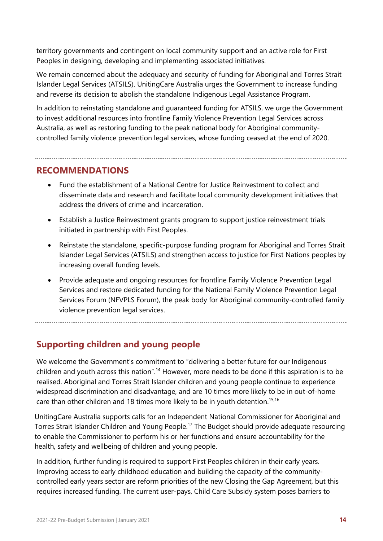territory governments and contingent on local community support and an active role for First Peoples in designing, developing and implementing associated initiatives.

We remain concerned about the adequacy and security of funding for Aboriginal and Torres Strait Islander Legal Services (ATSILS). UnitingCare Australia urges the Government to increase funding and reverse its decision to abolish the standalone Indigenous Legal Assistance Program.

In addition to reinstating standalone and guaranteed funding for ATSILS, we urge the Government to invest additional resources into frontline Family Violence Prevention Legal Services across Australia, as well as restoring funding to the peak national body for Aboriginal communitycontrolled family violence prevention legal services, whose funding ceased at the end of 2020.

#### **RECOMMENDATIONS**

- Fund the establishment of a National Centre for Justice Reinvestment to collect and disseminate data and research and facilitate local community development initiatives that address the drivers of crime and incarceration.
- Establish a Justice Reinvestment grants program to support justice reinvestment trials initiated in partnership with First Peoples.
- Reinstate the standalone, specific-purpose funding program for Aboriginal and Torres Strait Islander Legal Services (ATSILS) and strengthen access to justice for First Nations peoples by increasing overall funding levels.
- Provide adequate and ongoing resources for frontline Family Violence Prevention Legal Services and restore dedicated funding for the National Family Violence Prevention Legal Services Forum (NFVPLS Forum), the peak body for Aboriginal community-controlled family violence prevention legal services.

**Supporting children and young people**

We welcome the Government's commitment to "delivering a better future for our Indigenous children and youth across this nation".<sup>14</sup> However, more needs to be done if this aspiration is to be realised. Aboriginal and Torres Strait Islander children and young people continue to experience widespread discrimination and disadvantage, and are 10 times more likely to be in out-of-home care than other children and 18 times more likely to be in youth detention.<sup>15,16</sup>

UnitingCare Australia supports calls for an Independent National Commissioner for Aboriginal and Torres Strait Islander Children and Young People.<sup>17</sup> The Budget should provide adequate resourcing to enable the Commissioner to perform his or her functions and ensure accountability for the health, safety and wellbeing of children and young people.

In addition, further funding is required to support First Peoples children in their early years. Improving access to early childhood education and building the capacity of the communitycontrolled early years sector are reform priorities of the new Closing the Gap Agreement, but this requires increased funding. The current user-pays, Child Care Subsidy system poses barriers to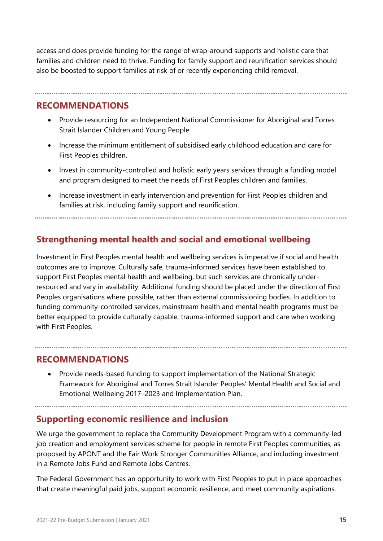access and does provide funding for the range of wrap-around supports and holistic care that families and children need to thrive. Funding for family support and reunification services should also be boosted to support families at risk of or recently experiencing child removal.

#### **RECOMMENDATIONS**

- Provide resourcing for an Independent National Commissioner for Aboriginal and Torres Strait Islander Children and Young People.
- Increase the minimum entitlement of subsidised early childhood education and care for First Peoples children.
- Invest in community-controlled and holistic early years services through a funding model and program designed to meet the needs of First Peoples children and families.
- Increase investment in early intervention and prevention for First Peoples children and families at risk, including family support and reunification.

#### **Strengthening mental health and social and emotional wellbeing**

Investment in First Peoples mental health and wellbeing services is imperative if social and health outcomes are to improve. Culturally safe, trauma-informed services have been established to support First Peoples mental health and wellbeing, but such services are chronically underresourced and vary in availability. Additional funding should be placed under the direction of First Peoples organisations where possible, rather than external commissioning bodies. In addition to funding community-controlled services, mainstream health and mental health programs must be better equipped to provide culturally capable, trauma-informed support and care when working with First Peoples.

#### **RECOMMENDATIONS**

• Provide needs-based funding to support implementation of the National Strategic Framework for Aboriginal and Torres Strait Islander Peoples' Mental Health and Social and Emotional Wellbeing 2017–2023 and Implementation Plan.

#### <span id="page-17-0"></span>**Supporting economic resilience and inclusion**

We urge the government to replace the Community Development Program with a community-led job creation and employment services scheme for people in remote First Peoples communities, as proposed by APONT and the Fair Work Stronger Communities Alliance, and including investment in a Remote Jobs Fund and Remote Jobs Centres.

The Federal Government has an opportunity to work with First Peoples to put in place approaches that create meaningful paid jobs, support economic resilience, and meet community aspirations.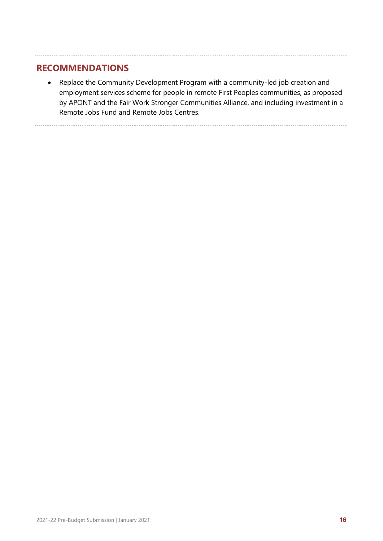#### **RECOMMENDATIONS**

• Replace the Community Development Program with a community-led job creation and employment services scheme for people in remote First Peoples communities, as proposed by APONT and the Fair Work Stronger Communities Alliance, and including investment in a Remote Jobs Fund and Remote Jobs Centres.

<span id="page-18-0"></span>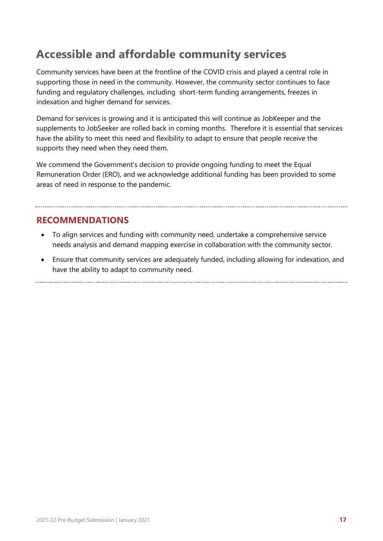### **Accessible and affordable community services**

Community services have been at the frontline of the COVID crisis and played a central role in supporting those in need in the community. However, the community sector continues to face funding and regulatory challenges, including short-term funding arrangements, freezes in indexation and higher demand for services.

Demand for services is growing and it is anticipated this will continue as JobKeeper and the supplements to JobSeeker are rolled back in coming months. Therefore it is essential that services have the ability to meet this need and flexibility to adapt to ensure that people receive the supports they need when they need them.

We commend the Government's decision to provide ongoing funding to meet the Equal Remuneration Order (ERO), and we acknowledge additional funding has been provided to some areas of need in response to the pandemic.

#### **RECOMMENDATIONS**

- To align services and funding with community need, undertake a comprehensive service needs analysis and demand mapping exercise in collaboration with the community sector.
- Ensure that community services are adequately funded, including allowing for indexation, and have the ability to adapt to community need.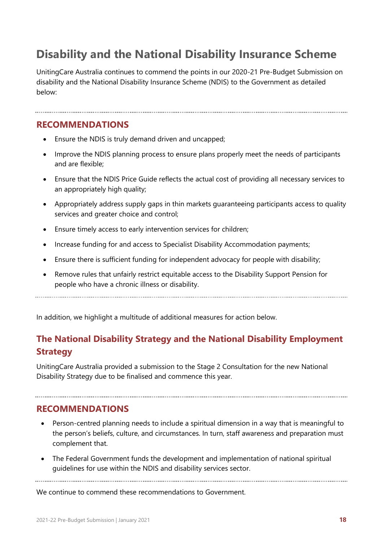## **Disability and the National Disability Insurance Scheme**

UnitingCare Australia continues to commend the points in our 2020-21 Pre-Budget Submission on disability and the National Disability Insurance Scheme (NDIS) to the Government as detailed below:

#### **RECOMMENDATIONS**

- Ensure the NDIS is truly demand driven and uncapped;
- Improve the NDIS planning process to ensure plans properly meet the needs of participants and are flexible;
- Ensure that the NDIS Price Guide reflects the actual cost of providing all necessary services to an appropriately high quality;
- Appropriately address supply gaps in thin markets guaranteeing participants access to quality services and greater choice and control;
- Ensure timely access to early intervention services for children;
- Increase funding for and access to Specialist Disability Accommodation payments;
- Ensure there is sufficient funding for independent advocacy for people with disability;
- Remove rules that unfairly restrict equitable access to the Disability Support Pension for people who have a chronic illness or disability.

In addition, we highlight a multitude of additional measures for action below.

#### **The National Disability Strategy and the National Disability Employment Strategy**

UnitingCare Australia provided a submission to the Stage 2 Consultation for the new National Disability Strategy due to be finalised and commence this year.

#### **RECOMMENDATIONS**

- Person-centred planning needs to include a spiritual dimension in a way that is meaningful to the person's beliefs, culture, and circumstances. In turn, staff awareness and preparation must complement that.
- The Federal Government funds the development and implementation of national spiritual guidelines for use within the NDIS and disability services sector.

We continue to commend these recommendations to Government.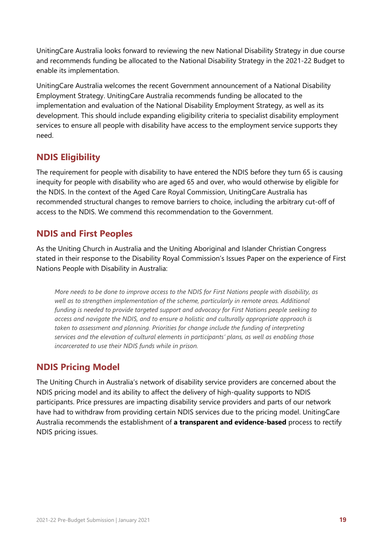UnitingCare Australia looks forward to reviewing the new National Disability Strategy in due course and recommends funding be allocated to the National Disability Strategy in the 2021-22 Budget to enable its implementation.

UnitingCare Australia welcomes the recent Government announcement of a National Disability Employment Strategy. UnitingCare Australia recommends funding be allocated to the implementation and evaluation of the National Disability Employment Strategy, as well as its development. This should include expanding eligibility criteria to specialist disability employment services to ensure all people with disability have access to the employment service supports they need.

#### **NDIS Eligibility**

The requirement for people with disability to have entered the NDIS before they turn 65 is causing inequity for people with disability who are aged 65 and over, who would otherwise by eligible for the NDIS. In the context of the Aged Care Royal Commission, UnitingCare Australia has recommended structural changes to remove barriers to choice, including the arbitrary cut-off of access to the NDIS. We commend this recommendation to the Government.

#### **NDIS and First Peoples**

As the Uniting Church in Australia and the Uniting Aboriginal and Islander Christian Congress stated in their response to the Disability Royal Commission's Issues Paper on the experience of First Nations People with Disability in Australia:

*More needs to be done to improve access to the NDIS for First Nations people with disability, as*  well as to strengthen implementation of the scheme, particularly in remote areas. Additional *funding is needed to provide targeted support and advocacy for First Nations people seeking to access and navigate the NDIS, and to ensure a holistic and culturally appropriate approach is taken to assessment and planning. Priorities for change include the funding of interpreting services and the elevation of cultural elements in participants' plans, as well as enabling those incarcerated to use their NDIS funds while in prison.*

#### **NDIS Pricing Model**

The Uniting Church in Australia's network of disability service providers are concerned about the NDIS pricing model and its ability to affect the delivery of high-quality supports to NDIS participants. Price pressures are impacting disability service providers and parts of our network have had to withdraw from providing certain NDIS services due to the pricing model. UnitingCare Australia recommends the establishment of **a transparent and evidence-based** process to rectify NDIS pricing issues.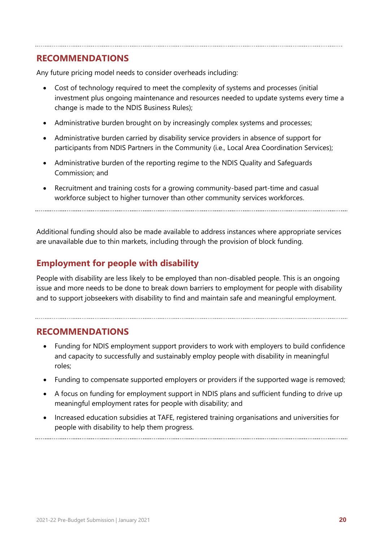#### **RECOMMENDATIONS**

Any future pricing model needs to consider overheads including:

- Cost of technology required to meet the complexity of systems and processes (initial investment plus ongoing maintenance and resources needed to update systems every time a change is made to the NDIS Business Rules);
- Administrative burden brought on by increasingly complex systems and processes;
- Administrative burden carried by disability service providers in absence of support for participants from NDIS Partners in the Community (i.e., Local Area Coordination Services);
- Administrative burden of the reporting regime to the NDIS Quality and Safeguards Commission; and
- Recruitment and training costs for a growing community-based part-time and casual workforce subject to higher turnover than other community services workforces.

Additional funding should also be made available to address instances where appropriate services are unavailable due to thin markets, including through the provision of block funding.

#### **Employment for people with disability**

People with disability are less likely to be employed than non-disabled people. This is an ongoing issue and more needs to be done to break down barriers to employment for people with disability and to support jobseekers with disability to find and maintain safe and meaningful employment.

#### **RECOMMENDATIONS**

- Funding for NDIS employment support providers to work with employers to build confidence and capacity to successfully and sustainably employ people with disability in meaningful roles;
- Funding to compensate supported employers or providers if the supported wage is removed;
- A focus on funding for employment support in NDIS plans and sufficient funding to drive up meaningful employment rates for people with disability; and
- Increased education subsidies at TAFE, registered training organisations and universities for people with disability to help them progress.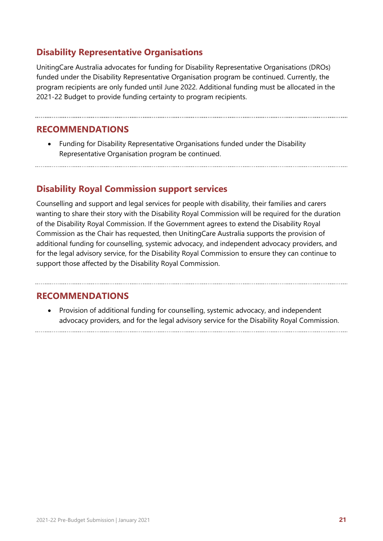#### **Disability Representative Organisations**

UnitingCare Australia advocates for funding for Disability Representative Organisations (DROs) funded under the Disability Representative Organisation program be continued. Currently, the program recipients are only funded until June 2022. Additional funding must be allocated in the 2021-22 Budget to provide funding certainty to program recipients.

#### **RECOMMENDATIONS**

• Funding for Disability Representative Organisations funded under the Disability Representative Organisation program be continued.

#### **Disability Royal Commission support services**

Counselling and support and legal services for people with disability, their families and carers wanting to share their story with the Disability Royal Commission will be required for the duration of the Disability Royal Commission. If the Government agrees to extend the Disability Royal Commission as the Chair has requested, then UnitingCare Australia supports the provision of additional funding for counselling, systemic advocacy, and independent advocacy providers, and for the legal advisory service, for the Disability Royal Commission to ensure they can continue to support those affected by the Disability Royal Commission.

#### **RECOMMENDATIONS**

<span id="page-23-0"></span>• Provision of additional funding for counselling, systemic advocacy, and independent advocacy providers, and for the legal advisory service for the Disability Royal Commission.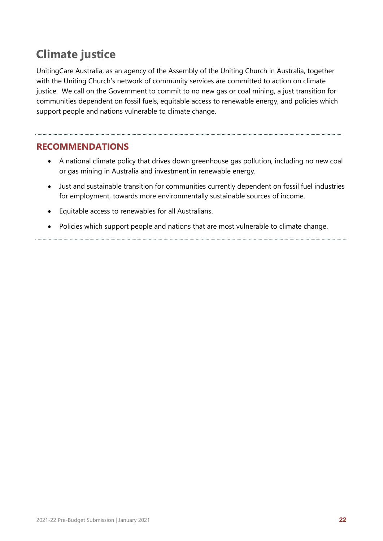## **Climate justice**

UnitingCare Australia, as an agency of the Assembly of the Uniting Church in Australia, together with the Uniting Church's network of community services are committed to action on climate justice. We call on the Government to commit to no new gas or coal mining, a just transition for communities dependent on fossil fuels, equitable access to renewable energy, and policies which support people and nations vulnerable to climate change.

#### **RECOMMENDATIONS**

- A national climate policy that drives down greenhouse gas pollution, including no new coal or gas mining in Australia and investment in renewable energy.
- Just and sustainable transition for communities currently dependent on fossil fuel industries for employment, towards more environmentally sustainable sources of income.
- Equitable access to renewables for all Australians.
- <span id="page-24-0"></span>• Policies which support people and nations that are most vulnerable to climate change.